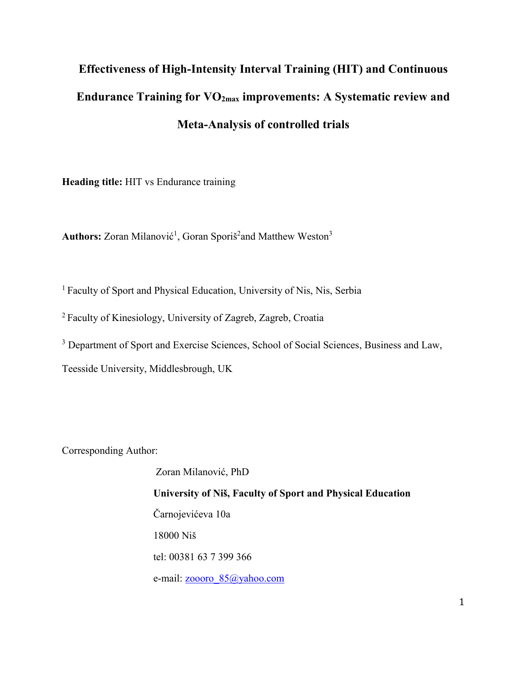# **Effectiveness of High-Intensity Interval Training (HIT) and Continuous Endurance Training for VO2max improvements: A Systematic review and Meta-Analysis of controlled trials**

**Heading title:** HIT vs Endurance training

Authors: Zoran Milanović<sup>1</sup>, Goran Sporiš<sup>2</sup>and Matthew Weston<sup>3</sup>

<sup>1</sup> Faculty of Sport and Physical Education, University of Nis, Nis, Serbia

<sup>2</sup>Faculty of Kinesiology, University of Zagreb, Zagreb, Croatia

<sup>3</sup> Department of Sport and Exercise Sciences, School of Social Sciences, Business and Law,

Teesside University, Middlesbrough, UK

Corresponding Author:

Zoran Milanović, PhD **University of Niš, Faculty of Sport and Physical Education**  Čarnojevićeva 10a 18000 Niš tel: 00381 63 7 399 366 e-mail: [zoooro\\_85@yahoo.com](mailto:zoooro_85@yahoo.com)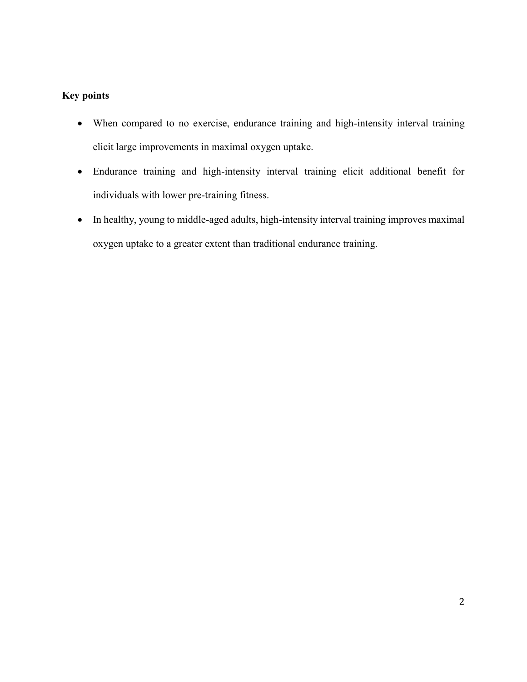# **Key points**

- When compared to no exercise, endurance training and high-intensity interval training elicit large improvements in maximal oxygen uptake.
- Endurance training and high-intensity interval training elicit additional benefit for individuals with lower pre-training fitness.
- In healthy, young to middle-aged adults, high-intensity interval training improves maximal oxygen uptake to a greater extent than traditional endurance training.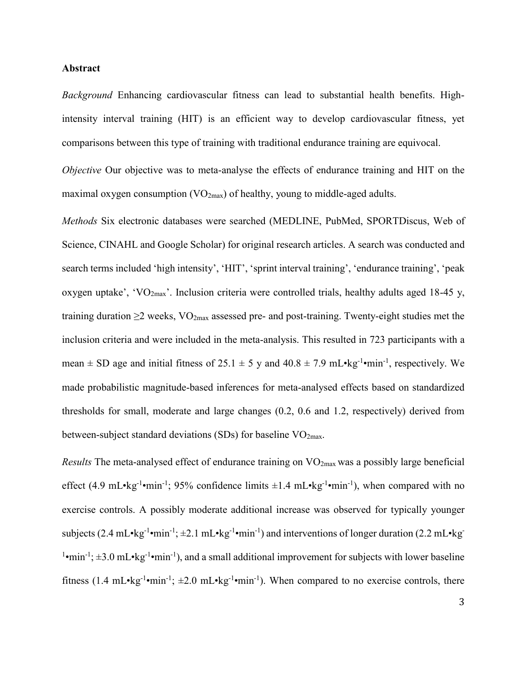#### **Abstract**

*Background* Enhancing cardiovascular fitness can lead to substantial health benefits. Highintensity interval training (HIT) is an efficient way to develop cardiovascular fitness, yet comparisons between this type of training with traditional endurance training are equivocal.

*Objective* Our objective was to meta-analyse the effects of endurance training and HIT on the maximal oxygen consumption ( $VO_{2max}$ ) of healthy, young to middle-aged adults.

*Methods* Six electronic databases were searched (MEDLINE, PubMed, SPORTDiscus, Web of Science, CINAHL and Google Scholar) for original research articles. A search was conducted and search terms included 'high intensity', 'HIT', 'sprint interval training', 'endurance training', 'peak oxygen uptake', 'VO<sub>2max</sub>'. Inclusion criteria were controlled trials, healthy adults aged 18-45 y, training duration  $\geq 2$  weeks, VO<sub>2max</sub> assessed pre- and post-training. Twenty-eight studies met the inclusion criteria and were included in the meta-analysis. This resulted in 723 participants with a mean  $\pm$  SD age and initial fitness of 25.1  $\pm$  5 y and 40.8  $\pm$  7.9 mL•kg<sup>-1</sup>•min<sup>-1</sup>, respectively. We made probabilistic magnitude-based inferences for meta-analysed effects based on standardized thresholds for small, moderate and large changes (0.2, 0.6 and 1.2, respectively) derived from between-subject standard deviations (SDs) for baseline  $VO<sub>2max</sub>$ .

*Results* The meta-analysed effect of endurance training on VO<sub>2max</sub> was a possibly large beneficial effect (4.9 mL•kg<sup>-1</sup>•min<sup>-1</sup>; 95% confidence limits  $\pm 1.4$  mL•kg<sup>-1</sup>•min<sup>-1</sup>), when compared with no exercise controls. A possibly moderate additional increase was observed for typically younger subjects  $(2.4 \text{ mL} \cdot \text{kg}^{-1} \cdot \text{min}^{-1})$ ;  $\pm 2.1 \text{ mL} \cdot \text{kg}^{-1} \cdot \text{min}^{-1}$ ) and interventions of longer duration  $(2.2 \text{ mL} \cdot \text{kg}^{-1})$ <sup>1</sup>•min<sup>-1</sup>;  $\pm 3.0$  mL•kg<sup>-1</sup>•min<sup>-1</sup>), and a small additional improvement for subjects with lower baseline fitness (1.4 mL•kg<sup>-1</sup>•min<sup>-1</sup>;  $\pm 2.0$  mL•kg<sup>-1</sup>•min<sup>-1</sup>). When compared to no exercise controls, there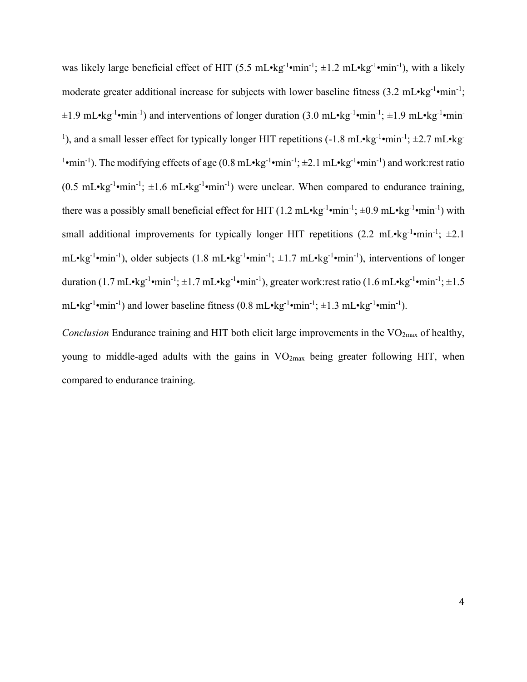was likely large beneficial effect of HIT  $(5.5 \text{ mL} \cdot \text{kg}^{-1} \cdot \text{min}^{-1})$ ;  $\pm 1.2 \text{ mL} \cdot \text{kg}^{-1} \cdot \text{min}^{-1})$ , with a likely moderate greater additional increase for subjects with lower baseline fitness  $(3.2 \text{ mL} \cdot \text{kg}^{-1} \cdot \text{min}^{-1})$ ;  $\pm 1.9$  mL•kg<sup>-1</sup>•min<sup>-1</sup>) and interventions of longer duration (3.0 mL•kg<sup>-1</sup>•min<sup>-1</sup>;  $\pm 1.9$  mL•kg<sup>-1</sup>•min<sup>-1</sup> <sup>1</sup>), and a small lesser effect for typically longer HIT repetitions (-1.8 mL•kg<sup>-1</sup>•min<sup>-1</sup>;  $\pm$ 2.7 mL•kg<sup>-1</sup> <sup>1</sup>•min<sup>-1</sup>). The modifying effects of age (0.8 mL•kg<sup>-1</sup>•min<sup>-1</sup>;  $\pm$ 2.1 mL•kg<sup>-1</sup>•min<sup>-1</sup>) and work:rest ratio  $(0.5 \text{ mL} \cdot \text{kg}^{-1} \cdot \text{min}^{-1})$ ;  $\pm 1.6 \text{ mL} \cdot \text{kg}^{-1} \cdot \text{min}^{-1}$ ) were unclear. When compared to endurance training, there was a possibly small beneficial effect for HIT  $(1.2 \text{ mL} \cdot \text{kg}^{-1} \cdot \text{min}^{-1})$ ;  $\pm 0.9 \text{ mL} \cdot \text{kg}^{-1} \cdot \text{min}^{-1})$  with small additional improvements for typically longer HIT repetitions  $(2.2 \text{ mL} \cdot \text{kg}^{-1} \cdot \text{min}^{-1})$ ;  $\pm 2.1$ mL•kg<sup>-1</sup>•min<sup>-1</sup>), older subjects (1.8 mL•kg<sup>-1</sup>•min<sup>-1</sup>; ±1.7 mL•kg<sup>-1</sup>•min<sup>-1</sup>), interventions of longer duration  $(1.7 \text{ mL} \cdot \text{kg}^{-1} \cdot \text{min}^{-1}; \pm 1.7 \text{ mL} \cdot \text{kg}^{-1} \cdot \text{min}^{-1})$ , greater work:rest ratio  $(1.6 \text{ mL} \cdot \text{kg}^{-1} \cdot \text{min}^{-1}; \pm 1.5$  $mL \cdot kg^{-1} \cdot min^{-1}$  and lower baseline fitness (0.8 mL $\cdot kg^{-1} \cdot min^{-1}$ ;  $\pm 1.3$  mL $\cdot kg^{-1} \cdot min^{-1}$ ).

*Conclusion* Endurance training and HIT both elicit large improvements in the VO<sub>2max</sub> of healthy, young to middle-aged adults with the gains in VO2max being greater following HIT, when compared to endurance training.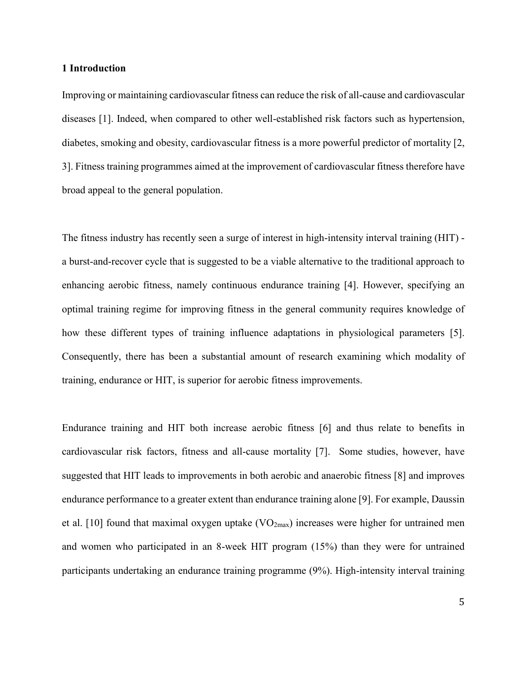#### **1 Introduction**

Improving or maintaining cardiovascular fitness can reduce the risk of all-cause and cardiovascular diseases [1]. Indeed, when compared to other well-established risk factors such as hypertension, diabetes, smoking and obesity, cardiovascular fitness is a more powerful predictor of mortality [2, 3]. Fitness training programmes aimed at the improvement of cardiovascular fitness therefore have broad appeal to the general population.

The fitness industry has recently seen a surge of interest in high-intensity interval training (HIT) a burst-and-recover cycle that is suggested to be a viable alternative to the traditional approach to enhancing aerobic fitness, namely continuous endurance training [4]. However, specifying an optimal training regime for improving fitness in the general community requires knowledge of how these different types of training influence adaptations in physiological parameters [5]. Consequently, there has been a substantial amount of research examining which modality of training, endurance or HIT, is superior for aerobic fitness improvements.

Endurance training and HIT both increase aerobic fitness [6] and thus relate to benefits in cardiovascular risk factors, fitness and all-cause mortality [7]. Some studies, however, have suggested that HIT leads to improvements in both aerobic and anaerobic fitness [8] and improves endurance performance to a greater extent than endurance training alone [9]. For example, Daussin et al. [10] found that maximal oxygen uptake  $(VO<sub>2max</sub>)$  increases were higher for untrained men and women who participated in an 8-week HIT program (15%) than they were for untrained participants undertaking an endurance training programme (9%). High-intensity interval training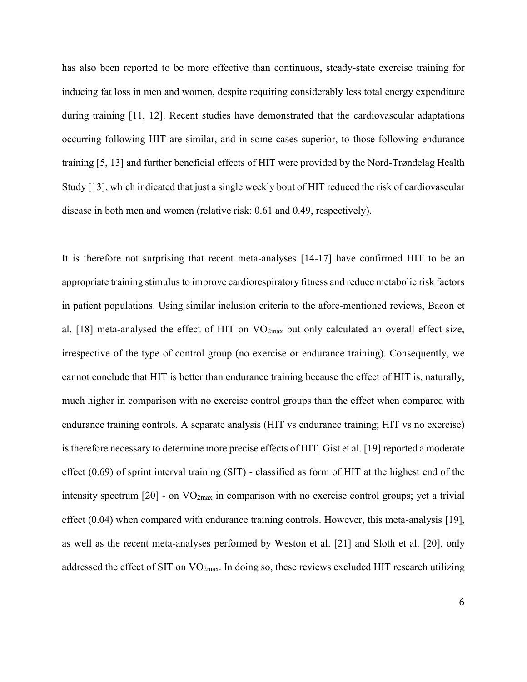has also been reported to be more effective than continuous, steady-state exercise training for inducing fat loss in men and women, despite requiring considerably less total energy expenditure during training [11, 12]. Recent studies have demonstrated that the cardiovascular adaptations occurring following HIT are similar, and in some cases superior, to those following endurance training [5, 13] and further beneficial effects of HIT were provided by the Nord-Trøndelag Health Study [13], which indicated that just a single weekly bout of HIT reduced the risk of cardiovascular disease in both men and women (relative risk: 0.61 and 0.49, respectively).

It is therefore not surprising that recent meta-analyses [14-17] have confirmed HIT to be an appropriate training stimulus to improve cardiorespiratory fitness and reduce metabolic risk factors in patient populations. Using similar inclusion criteria to the afore-mentioned reviews, Bacon et al. [18] meta-analysed the effect of HIT on VO<sub>2max</sub> but only calculated an overall effect size, irrespective of the type of control group (no exercise or endurance training). Consequently, we cannot conclude that HIT is better than endurance training because the effect of HIT is, naturally, much higher in comparison with no exercise control groups than the effect when compared with endurance training controls. A separate analysis (HIT vs endurance training; HIT vs no exercise) is therefore necessary to determine more precise effects of HIT. Gist et al. [19] reported a moderate effect (0.69) of sprint interval training (SIT) - classified as form of HIT at the highest end of the intensity spectrum [20] - on VO2max in comparison with no exercise control groups; yet a trivial effect  $(0.04)$  when compared with endurance training controls. However, this meta-analysis [19], as well as the recent meta-analyses performed by Weston et al. [21] and Sloth et al. [20], only addressed the effect of SIT on VO2max. In doing so, these reviews excluded HIT research utilizing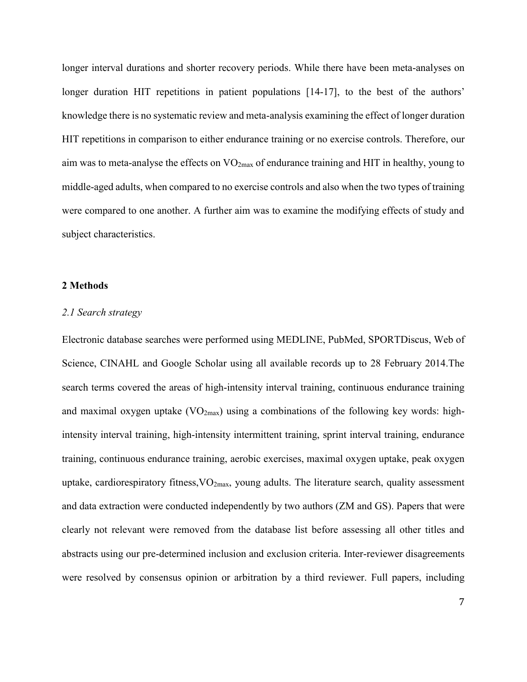longer interval durations and shorter recovery periods. While there have been meta-analyses on longer duration HIT repetitions in patient populations [14-17], to the best of the authors' knowledge there is no systematic review and meta-analysis examining the effect of longer duration HIT repetitions in comparison to either endurance training or no exercise controls. Therefore, our aim was to meta-analyse the effects on VO2max of endurance training and HIT in healthy, young to middle-aged adults, when compared to no exercise controls and also when the two types of training were compared to one another. A further aim was to examine the modifying effects of study and subject characteristics.

#### **2 Methods**

## *2.1 Search strategy*

Electronic database searches were performed using MEDLINE, PubMed, SPORTDiscus, Web of Science, CINAHL and Google Scholar using all available records up to 28 February 2014.The search terms covered the areas of high-intensity interval training, continuous endurance training and maximal oxygen uptake  $(VO_{2max})$  using a combinations of the following key words: highintensity interval training, high-intensity intermittent training, sprint interval training, endurance training, continuous endurance training, aerobic exercises, maximal oxygen uptake, peak oxygen uptake, cardiorespiratory fitness,  $VO_{2max}$ , young adults. The literature search, quality assessment and data extraction were conducted independently by two authors (ZM and GS). Papers that were clearly not relevant were removed from the database list before assessing all other titles and abstracts using our pre-determined inclusion and exclusion criteria. Inter-reviewer disagreements were resolved by consensus opinion or arbitration by a third reviewer. Full papers, including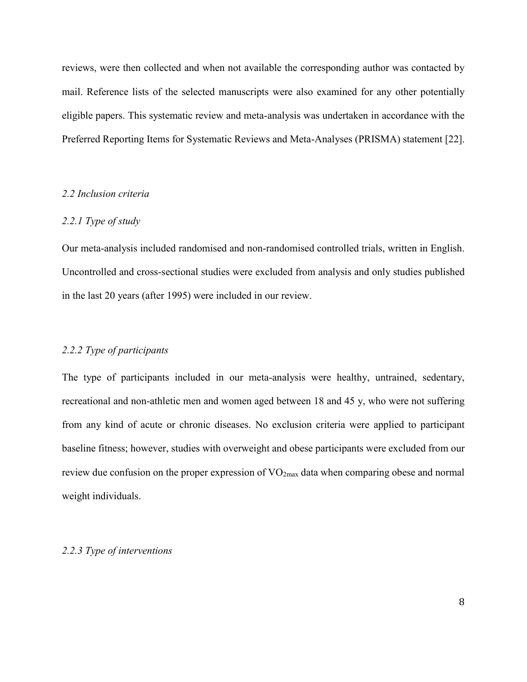reviews, were then collected and when not available the corresponding author was contacted by mail. Reference lists of the selected manuscripts were also examined for any other potentially eligible papers. This systematic review and meta-analysis was undertaken in accordance with the Preferred Reporting Items for Systematic Reviews and Meta-Analyses (PRISMA) statement [22].

#### *2.2 Inclusion criteria*

#### *2.2.1 Type of study*

Our meta-analysis included randomised and non-randomised controlled trials, written in English. Uncontrolled and cross-sectional studies were excluded from analysis and only studies published in the last 20 years (after 1995) were included in our review.

# *2.2.2 Type of participants*

The type of participants included in our meta-analysis were healthy, untrained, sedentary, recreational and non-athletic men and women aged between 18 and 45 y, who were not suffering from any kind of acute or chronic diseases. No exclusion criteria were applied to participant baseline fitness; however, studies with overweight and obese participants were excluded from our review due confusion on the proper expression of VO<sub>2max</sub> data when comparing obese and normal weight individuals.

#### *2.2.3 Type of interventions*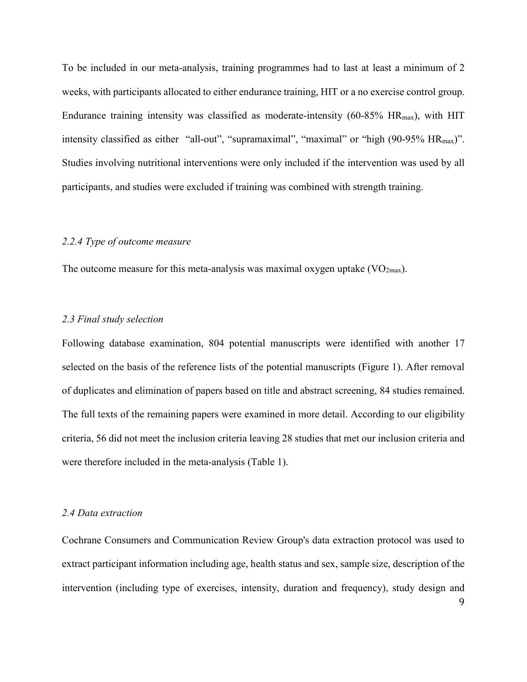To be included in our meta-analysis, training programmes had to last at least a minimum of 2 weeks, with participants allocated to either endurance training, HIT or a no exercise control group. Endurance training intensity was classified as moderate-intensity  $(60-85\% \text{ HR}_{\text{max}})$ , with HIT intensity classified as either "all-out", "supramaximal", "maximal" or "high (90-95% HR<sub>max</sub>)". Studies involving nutritional interventions were only included if the intervention was used by all participants, and studies were excluded if training was combined with strength training.

#### *2.2.4 Type of outcome measure*

The outcome measure for this meta-analysis was maximal oxygen uptake  $(VO_{2max})$ .

#### *2.3 Final study selection*

Following database examination, 804 potential manuscripts were identified with another 17 selected on the basis of the reference lists of the potential manuscripts (Figure 1). After removal of duplicates and elimination of papers based on title and abstract screening, 84 studies remained. The full texts of the remaining papers were examined in more detail. According to our eligibility criteria, 56 did not meet the inclusion criteria leaving 28 studies that met our inclusion criteria and were therefore included in the meta-analysis (Table 1).

## *2.4 Data extraction*

Cochrane Consumers and Communication Review Group's data extraction protocol was used to extract participant information including age, health status and sex, sample size, description of the intervention (including type of exercises, intensity, duration and frequency), study design and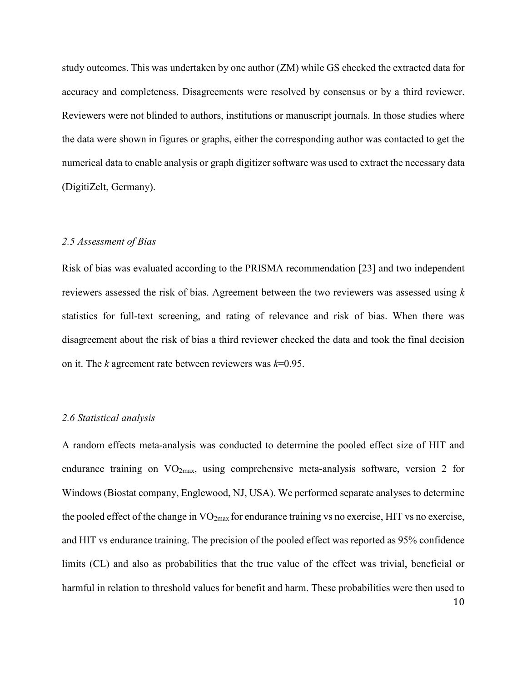study outcomes. This was undertaken by one author (ZM) while GS checked the extracted data for accuracy and completeness. Disagreements were resolved by consensus or by a third reviewer. Reviewers were not blinded to authors, institutions or manuscript journals. In those studies where the data were shown in figures or graphs, either the corresponding author was contacted to get the numerical data to enable analysis or graph digitizer software was used to extract the necessary data (DigitiZelt, Germany).

#### *2.5 Assessment of Bias*

Risk of bias was evaluated according to the PRISMA recommendation [23] and two independent reviewers assessed the risk of bias. Agreement between the two reviewers was assessed using *k* statistics for full-text screening, and rating of relevance and risk of bias. When there was disagreement about the risk of bias a third reviewer checked the data and took the final decision on it. The *k* agreement rate between reviewers was *k*=0.95.

#### *2.6 Statistical analysis*

A random effects meta-analysis was conducted to determine the pooled effect size of HIT and endurance training on VO<sub>2max</sub>, using comprehensive meta-analysis software, version 2 for Windows (Biostat company, Englewood, NJ, USA). We performed separate analyses to determine the pooled effect of the change in  $VO_{2max}$  for endurance training vs no exercise, HIT vs no exercise, and HIT vs endurance training. The precision of the pooled effect was reported as 95% confidence limits (CL) and also as probabilities that the true value of the effect was trivial, beneficial or harmful in relation to threshold values for benefit and harm. These probabilities were then used to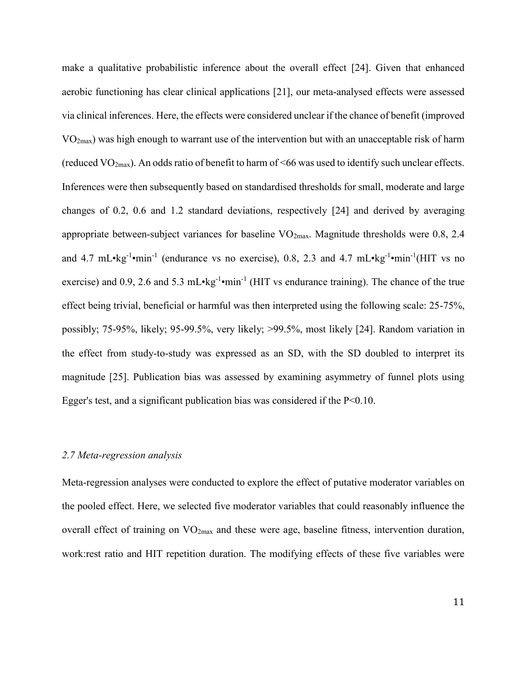make a qualitative probabilistic inference about the overall effect [24]. Given that enhanced aerobic functioning has clear clinical applications [21], our meta-analysed effects were assessed via clinical inferences. Here, the effects were considered unclear if the chance of benefit (improved VO2max) was high enough to warrant use of the intervention but with an unacceptable risk of harm (reduced  $VO_{2max}$ ). An odds ratio of benefit to harm of <66 was used to identify such unclear effects. Inferences were then subsequently based on standardised thresholds for small, moderate and large changes of 0.2, 0.6 and 1.2 standard deviations, respectively [24] and derived by averaging appropriate between-subject variances for baseline  $VO<sub>2max</sub>$ . Magnitude thresholds were 0.8, 2.4 and 4.7 mL $\cdot$ kg<sup>-1</sup> $\cdot$ min<sup>-1</sup> (endurance vs no exercise), 0.8, 2.3 and 4.7 mL $\cdot$ kg<sup>-1</sup> $\cdot$ min<sup>-1</sup>(HIT vs no exercise) and 0.9, 2.6 and 5.3 mL $\cdot$ kg<sup>-1</sup> $\cdot$ min<sup>-1</sup> (HIT vs endurance training). The chance of the true effect being trivial, beneficial or harmful was then interpreted using the following scale: 25-75%, possibly; 75-95%, likely; 95-99.5%, very likely; >99.5%, most likely [24]. Random variation in the effect from study-to-study was expressed as an SD, with the SD doubled to interpret its magnitude [25]. Publication bias was assessed by examining asymmetry of funnel plots using Egger's test, and a significant publication bias was considered if the  $P<0.10$ .

#### *2.7 Meta-regression analysis*

Meta-regression analyses were conducted to explore the effect of putative moderator variables on the pooled effect. Here, we selected five moderator variables that could reasonably influence the overall effect of training on  $VO<sub>2max</sub>$  and these were age, baseline fitness, intervention duration, work:rest ratio and HIT repetition duration. The modifying effects of these five variables were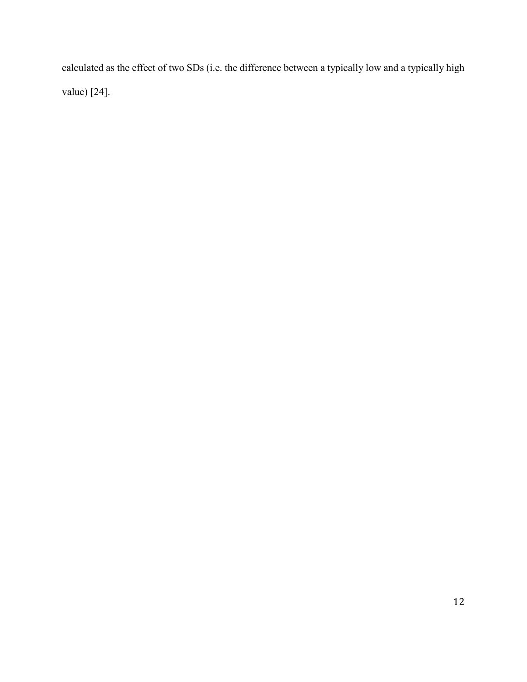calculated as the effect of two SDs (i.e. the difference between a typically low and a typically high value) [24].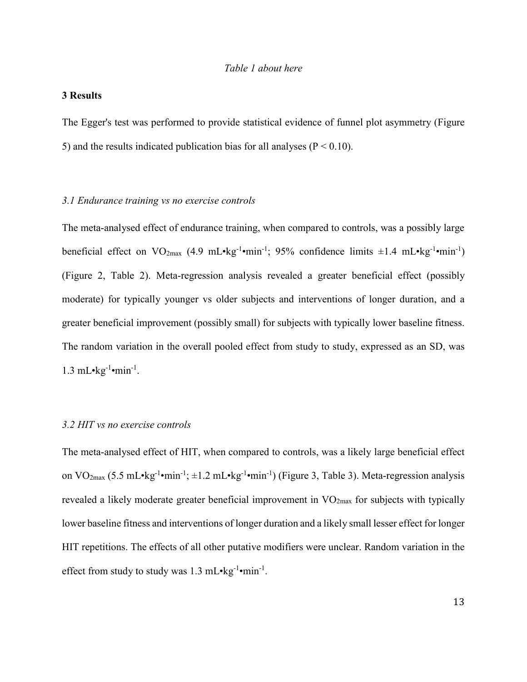#### **3 Results**

The Egger's test was performed to provide statistical evidence of funnel plot asymmetry (Figure 5) and the results indicated publication bias for all analyses ( $P < 0.10$ ).

## *3.1 Endurance training vs no exercise controls*

The meta-analysed effect of endurance training, when compared to controls, was a possibly large beneficial effect on  $VO_{2max}$  (4.9 mL•kg<sup>-1</sup>•min<sup>-1</sup>; 95% confidence limits  $\pm 1.4$  mL•kg<sup>-1</sup>•min<sup>-1</sup>) (Figure 2, Table 2). Meta-regression analysis revealed a greater beneficial effect (possibly moderate) for typically younger vs older subjects and interventions of longer duration, and a greater beneficial improvement (possibly small) for subjects with typically lower baseline fitness. The random variation in the overall pooled effect from study to study, expressed as an SD, was  $1.3 \text{ mL-kg}^{-1} \cdot \text{min}^{-1}$ .

#### *3.2 HIT vs no exercise controls*

The meta-analysed effect of HIT, when compared to controls, was a likely large beneficial effect on  $VO_{2max}$  (5.5 mL•kg<sup>-1</sup>•min<sup>-1</sup>;  $\pm$ 1.2 mL•kg<sup>-1</sup>•min<sup>-1</sup>) (Figure 3, Table 3). Meta-regression analysis revealed a likely moderate greater beneficial improvement in  $VO_{2max}$  for subjects with typically lower baseline fitness and interventions of longer duration and a likely small lesser effect for longer HIT repetitions. The effects of all other putative modifiers were unclear. Random variation in the effect from study to study was  $1.3 \text{ mL} \cdot \text{kg}^{-1} \cdot \text{min}^{-1}$ .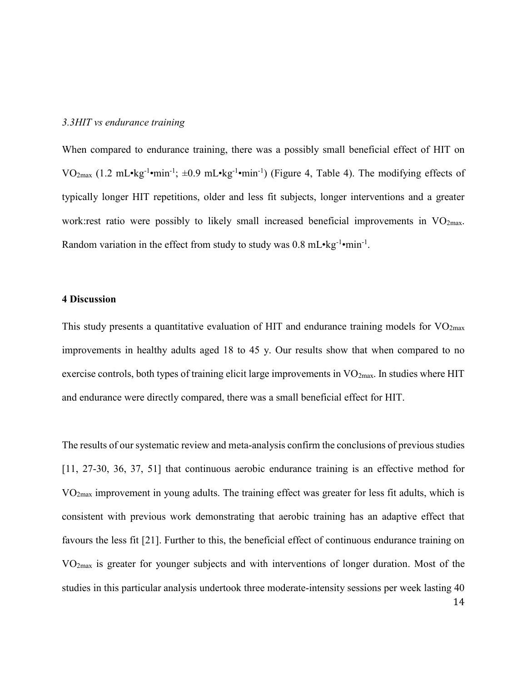#### *3.3HIT vs endurance training*

When compared to endurance training, there was a possibly small beneficial effect of HIT on VO<sub>2max</sub> (1.2 mL•kg<sup>-1</sup>•min<sup>-1</sup>;  $\pm 0.9$  mL•kg<sup>-1</sup>•min<sup>-1</sup>) (Figure 4, Table 4). The modifying effects of typically longer HIT repetitions, older and less fit subjects, longer interventions and a greater work:rest ratio were possibly to likely small increased beneficial improvements in  $VO<sub>2max</sub>$ . Random variation in the effect from study to study was  $0.8 \text{ mL} \cdot \text{kg}^{-1} \cdot \text{min}^{-1}$ .

# **4 Discussion**

This study presents a quantitative evaluation of HIT and endurance training models for  $VO<sub>2max</sub>$ improvements in healthy adults aged 18 to 45 y. Our results show that when compared to no exercise controls, both types of training elicit large improvements in  $VO<sub>2max</sub>$ . In studies where HIT and endurance were directly compared, there was a small beneficial effect for HIT.

The results of our systematic review and meta-analysis confirm the conclusions of previous studies [11, 27-30, 36, 37, 51] that continuous aerobic endurance training is an effective method for VO2max improvement in young adults. The training effect was greater for less fit adults, which is consistent with previous work demonstrating that aerobic training has an adaptive effect that favours the less fit [21]. Further to this, the beneficial effect of continuous endurance training on VO2max is greater for younger subjects and with interventions of longer duration. Most of the studies in this particular analysis undertook three moderate-intensity sessions per week lasting 40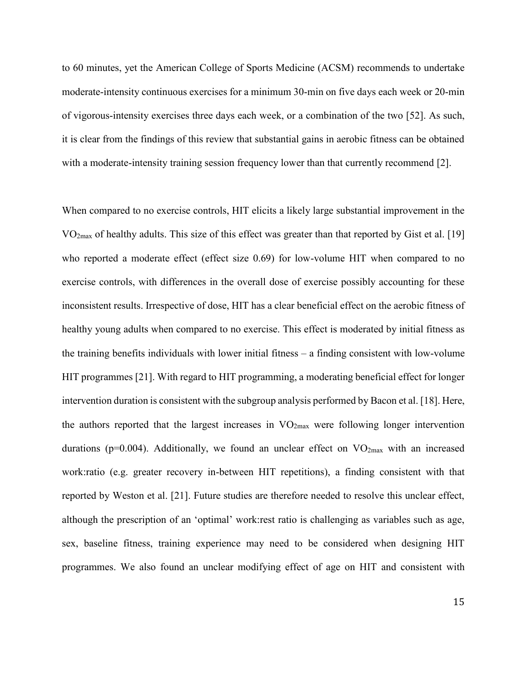to 60 minutes, yet the American College of Sports Medicine (ACSM) recommends to undertake moderate-intensity continuous exercises for a minimum 30-min on five days each week or 20-min of vigorous-intensity exercises three days each week, or a combination of the two [52]. As such, it is clear from the findings of this review that substantial gains in aerobic fitness can be obtained with a moderate-intensity training session frequency lower than that currently recommend [2].

When compared to no exercise controls, HIT elicits a likely large substantial improvement in the  $VO<sub>2max</sub>$  of healthy adults. This size of this effect was greater than that reported by Gist et al. [19] who reported a moderate effect (effect size 0.69) for low-volume HIT when compared to no exercise controls, with differences in the overall dose of exercise possibly accounting for these inconsistent results. Irrespective of dose, HIT has a clear beneficial effect on the aerobic fitness of healthy young adults when compared to no exercise. This effect is moderated by initial fitness as the training benefits individuals with lower initial fitness – a finding consistent with low-volume HIT programmes [21]. With regard to HIT programming, a moderating beneficial effect for longer intervention duration is consistent with the subgroup analysis performed by Bacon et al. [18]. Here, the authors reported that the largest increases in  $VO<sub>2max</sub>$  were following longer intervention durations ( $p=0.004$ ). Additionally, we found an unclear effect on  $VO_{2max}$  with an increased work:ratio (e.g. greater recovery in-between HIT repetitions), a finding consistent with that reported by Weston et al. [21]. Future studies are therefore needed to resolve this unclear effect, although the prescription of an 'optimal' work:rest ratio is challenging as variables such as age, sex, baseline fitness, training experience may need to be considered when designing HIT programmes. We also found an unclear modifying effect of age on HIT and consistent with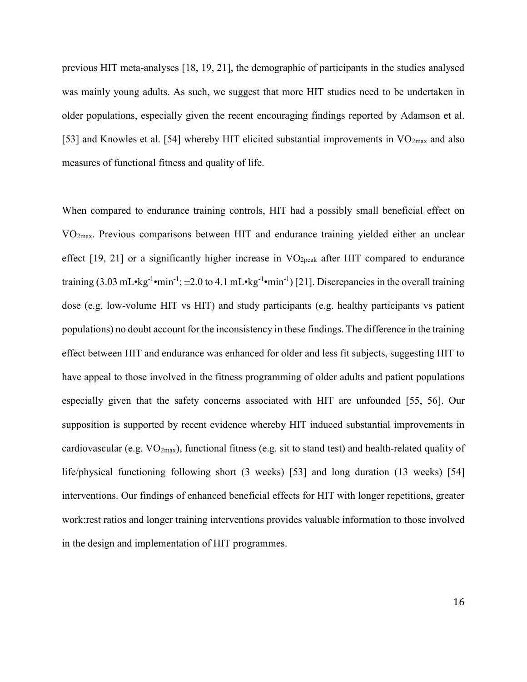previous HIT meta-analyses [18, 19, 21], the demographic of participants in the studies analysed was mainly young adults. As such, we suggest that more HIT studies need to be undertaken in older populations, especially given the recent encouraging findings reported by Adamson et al. [53] and Knowles et al. [54] whereby HIT elicited substantial improvements in  $VO<sub>2max</sub>$  and also measures of functional fitness and quality of life.

When compared to endurance training controls, HIT had a possibly small beneficial effect on VO2max. Previous comparisons between HIT and endurance training yielded either an unclear effect  $[19, 21]$  or a significantly higher increase in  $VO<sub>2peak</sub>$  after HIT compared to endurance training  $(3.03 \text{ mL} \cdot \text{kg}^{-1} \cdot \text{min}^{-1})$ ;  $\pm 2.0$  to 4.1 mL $\cdot \text{kg}^{-1} \cdot \text{min}^{-1}$ ) [21]. Discrepancies in the overall training dose (e.g. low-volume HIT vs HIT) and study participants (e.g. healthy participants vs patient populations) no doubt account for the inconsistency in these findings. The difference in the training effect between HIT and endurance was enhanced for older and less fit subjects, suggesting HIT to have appeal to those involved in the fitness programming of older adults and patient populations especially given that the safety concerns associated with HIT are unfounded [55, 56]. Our supposition is supported by recent evidence whereby HIT induced substantial improvements in cardiovascular (e.g. VO2max), functional fitness (e.g. sit to stand test) and health-related quality of life/physical functioning following short (3 weeks) [53] and long duration (13 weeks) [54] interventions. Our findings of enhanced beneficial effects for HIT with longer repetitions, greater work:rest ratios and longer training interventions provides valuable information to those involved in the design and implementation of HIT programmes.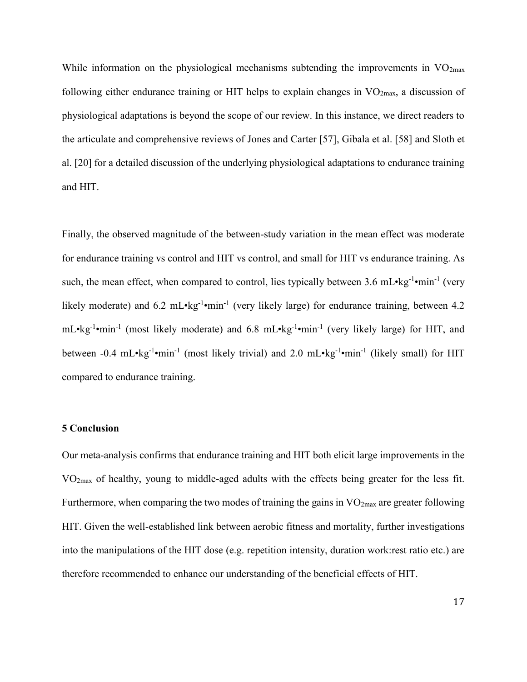While information on the physiological mechanisms subtending the improvements in  $VO<sub>2max</sub>$ following either endurance training or HIT helps to explain changes in  $VO<sub>2max</sub>$ , a discussion of physiological adaptations is beyond the scope of our review. In this instance, we direct readers to the articulate and comprehensive reviews of Jones and Carter [57], Gibala et al. [58] and Sloth et al. [20] for a detailed discussion of the underlying physiological adaptations to endurance training and HIT.

Finally, the observed magnitude of the between-study variation in the mean effect was moderate for endurance training vs control and HIT vs control, and small for HIT vs endurance training. As such, the mean effect, when compared to control, lies typically between 3.6 mL•kg<sup>-1</sup>•min<sup>-1</sup> (very likely moderate) and 6.2 mL•kg<sup>-1</sup>•min<sup>-1</sup> (very likely large) for endurance training, between 4.2 mL•kg<sup>-1</sup>•min<sup>-1</sup> (most likely moderate) and 6.8 mL•kg<sup>-1</sup>•min<sup>-1</sup> (very likely large) for HIT, and between -0.4 mL•kg<sup>-1</sup>•min<sup>-1</sup> (most likely trivial) and 2.0 mL•kg<sup>-1</sup>•min<sup>-1</sup> (likely small) for HIT compared to endurance training.

# **5 Conclusion**

Our meta-analysis confirms that endurance training and HIT both elicit large improvements in the VO2max of healthy, young to middle-aged adults with the effects being greater for the less fit. Furthermore, when comparing the two modes of training the gains in  $VO<sub>2max</sub>$  are greater following HIT. Given the well-established link between aerobic fitness and mortality, further investigations into the manipulations of the HIT dose (e.g. repetition intensity, duration work:rest ratio etc.) are therefore recommended to enhance our understanding of the beneficial effects of HIT.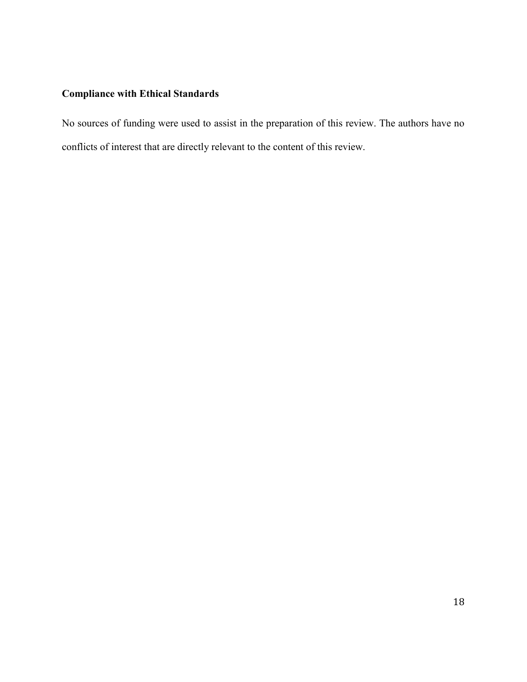# **Compliance with Ethical Standards**

No sources of funding were used to assist in the preparation of this review. The authors have no conflicts of interest that are directly relevant to the content of this review.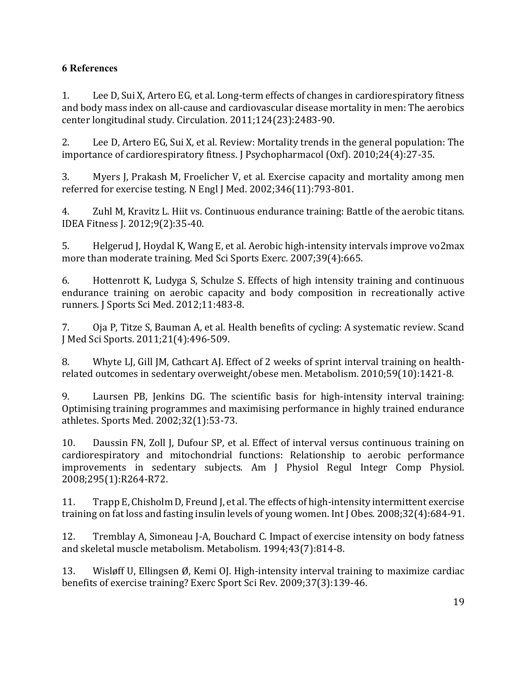# **6 References**

1. Lee D, Sui X, Artero EG, et al. Long-term effects of changes in cardiorespiratory fitness and body mass index on all-cause and cardiovascular disease mortality in men: The aerobics center longitudinal study. Circulation. 2011;124(23):2483-90.

2. Lee D, Artero EG, Sui X, et al. Review: Mortality trends in the general population: The importance of cardiorespiratory fitness. J Psychopharmacol (Oxf). 2010;24(4):27-35.

3. Myers J, Prakash M, Froelicher V, et al. Exercise capacity and mortality among men referred for exercise testing. N Engl J Med. 2002;346(11):793-801.

4. Zuhl M, Kravitz L. Hiit vs. Continuous endurance training: Battle of the aerobic titans. IDEA Fitness J. 2012;9(2):35-40.

5. Helgerud J, Hoydal K, Wang E, et al. Aerobic high-intensity intervals improve vo2max more than moderate training. Med Sci Sports Exerc. 2007;39(4):665.

6. Hottenrott K, Ludyga S, Schulze S. Effects of high intensity training and continuous endurance training on aerobic capacity and body composition in recreationally active runners. J Sports Sci Med. 2012;11:483-8.

7. Oja P, Titze S, Bauman A, et al. Health benefits of cycling: A systematic review. Scand J Med Sci Sports. 2011;21(4):496-509.

8. Whyte LJ, Gill JM, Cathcart AJ. Effect of 2 weeks of sprint interval training on healthrelated outcomes in sedentary overweight/obese men. Metabolism. 2010;59(10):1421-8.

9. Laursen PB, Jenkins DG. The scientific basis for high-intensity interval training: Optimising training programmes and maximising performance in highly trained endurance athletes. Sports Med. 2002;32(1):53-73.

10. Daussin FN, Zoll J, Dufour SP, et al. Effect of interval versus continuous training on cardiorespiratory and mitochondrial functions: Relationship to aerobic performance improvements in sedentary subjects. Am J Physiol Regul Integr Comp Physiol. 2008;295(1):R264-R72.

11. Trapp E, Chisholm D, Freund J, et al. The effects of high-intensity intermittent exercise training on fat loss and fasting insulin levels of young women. Int J Obes. 2008;32(4):684-91.

12. Tremblay A, Simoneau J-A, Bouchard C. Impact of exercise intensity on body fatness and skeletal muscle metabolism. Metabolism. 1994;43(7):814-8.

13. Wisløff U, Ellingsen Ø, Kemi OJ. High-intensity interval training to maximize cardiac benefits of exercise training? Exerc Sport Sci Rev. 2009;37(3):139-46.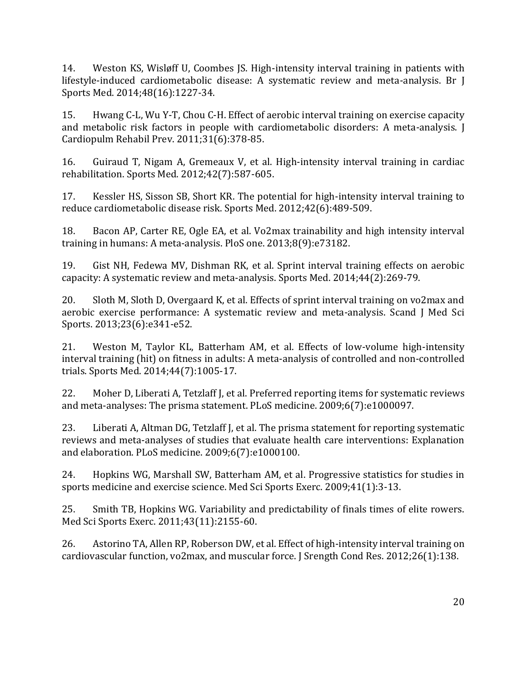14. Weston KS, Wisløff U, Coombes JS. High-intensity interval training in patients with lifestyle-induced cardiometabolic disease: A systematic review and meta-analysis. Br J Sports Med. 2014;48(16):1227-34.

15. Hwang C-L, Wu Y-T, Chou C-H. Effect of aerobic interval training on exercise capacity and metabolic risk factors in people with cardiometabolic disorders: A meta-analysis. J Cardiopulm Rehabil Prev. 2011;31(6):378-85.

16. Guiraud T, Nigam A, Gremeaux V, et al. High-intensity interval training in cardiac rehabilitation. Sports Med. 2012;42(7):587-605.

17. Kessler HS, Sisson SB, Short KR. The potential for high-intensity interval training to reduce cardiometabolic disease risk. Sports Med. 2012;42(6):489-509.

18. Bacon AP, Carter RE, Ogle EA, et al. Vo2max trainability and high intensity interval training in humans: A meta-analysis. PloS one. 2013;8(9):e73182.

19. Gist NH, Fedewa MV, Dishman RK, et al. Sprint interval training effects on aerobic capacity: A systematic review and meta-analysis. Sports Med. 2014;44(2):269-79.

20. Sloth M, Sloth D, Overgaard K, et al. Effects of sprint interval training on vo2max and aerobic exercise performance: A systematic review and meta‐analysis. Scand J Med Sci Sports. 2013;23(6):e341-e52.

21. Weston M, Taylor KL, Batterham AM, et al. Effects of low-volume high-intensity interval training (hit) on fitness in adults: A meta-analysis of controlled and non-controlled trials. Sports Med. 2014;44(7):1005-17.

22. Moher D, Liberati A, Tetzlaff J, et al. Preferred reporting items for systematic reviews and meta-analyses: The prisma statement. PLoS medicine. 2009;6(7):e1000097.

23. Liberati A, Altman DG, Tetzlaff J, et al. The prisma statement for reporting systematic reviews and meta-analyses of studies that evaluate health care interventions: Explanation and elaboration. PLoS medicine. 2009;6(7):e1000100.

24. Hopkins WG, Marshall SW, Batterham AM, et al. Progressive statistics for studies in sports medicine and exercise science. Med Sci Sports Exerc. 2009;41(1):3-13.

25. Smith TB, Hopkins WG. Variability and predictability of finals times of elite rowers. Med Sci Sports Exerc. 2011;43(11):2155-60.

26. Astorino TA, Allen RP, Roberson DW, et al. Effect of high-intensity interval training on cardiovascular function, vo2max, and muscular force. J Srength Cond Res. 2012;26(1):138.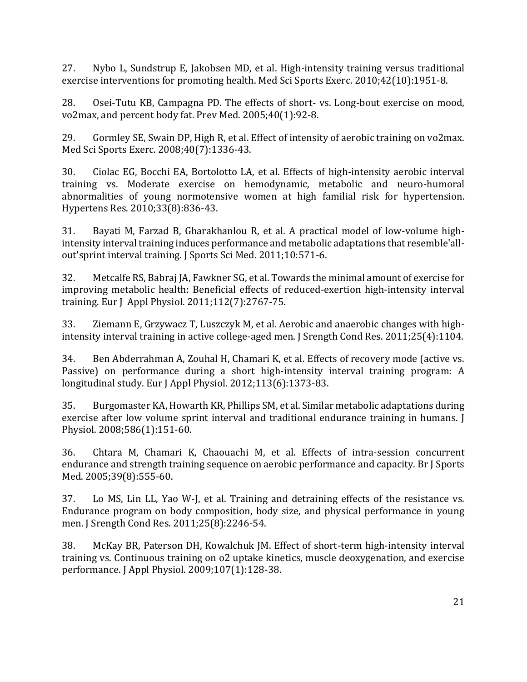27. Nybo L, Sundstrup E, Jakobsen MD, et al. High-intensity training versus traditional exercise interventions for promoting health. Med Sci Sports Exerc. 2010;42(10):1951-8.

28. Osei-Tutu KB, Campagna PD. The effects of short- vs. Long-bout exercise on mood, vo2max, and percent body fat. Prev Med. 2005;40(1):92-8.

29. Gormley SE, Swain DP, High R, et al. Effect of intensity of aerobic training on vo2max. Med Sci Sports Exerc. 2008;40(7):1336-43.

30. Ciolac EG, Bocchi EA, Bortolotto LA, et al. Effects of high-intensity aerobic interval training vs. Moderate exercise on hemodynamic, metabolic and neuro-humoral abnormalities of young normotensive women at high familial risk for hypertension. Hypertens Res. 2010;33(8):836-43.

31. Bayati M, Farzad B, Gharakhanlou R, et al. A practical model of low-volume highintensity interval training induces performance and metabolic adaptations that resemble'allout'sprint interval training. J Sports Sci Med. 2011;10:571-6.

32. Metcalfe RS, Babraj JA, Fawkner SG, et al. Towards the minimal amount of exercise for improving metabolic health: Beneficial effects of reduced-exertion high-intensity interval training. Eur J Appl Physiol. 2011;112(7):2767-75.

33. Ziemann E, Grzywacz T, Luszczyk M, et al. Aerobic and anaerobic changes with highintensity interval training in active college-aged men. J Srength Cond Res. 2011;25(4):1104.

34. Ben Abderrahman A, Zouhal H, Chamari K, et al. Effects of recovery mode (active vs. Passive) on performance during a short high-intensity interval training program: A longitudinal study. Eur J Appl Physiol. 2012;113(6):1373-83.

35. Burgomaster KA, Howarth KR, Phillips SM, et al. Similar metabolic adaptations during exercise after low volume sprint interval and traditional endurance training in humans. J Physiol. 2008;586(1):151-60.

36. Chtara M, Chamari K, Chaouachi M, et al. Effects of intra-session concurrent endurance and strength training sequence on aerobic performance and capacity. Br J Sports Med. 2005;39(8):555-60.

37. Lo MS, Lin LL, Yao W-J, et al. Training and detraining effects of the resistance vs. Endurance program on body composition, body size, and physical performance in young men. J Srength Cond Res. 2011;25(8):2246-54.

38. McKay BR, Paterson DH, Kowalchuk JM. Effect of short-term high-intensity interval training vs. Continuous training on o2 uptake kinetics, muscle deoxygenation, and exercise performance. J Appl Physiol. 2009;107(1):128-38.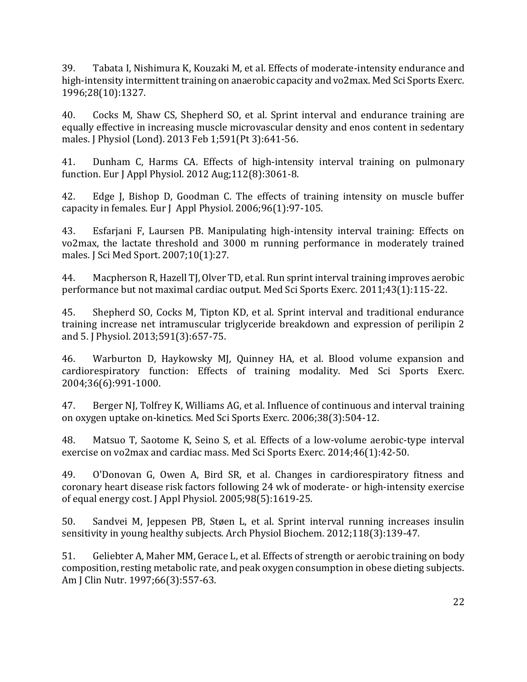39. Tabata I, Nishimura K, Kouzaki M, et al. Effects of moderate-intensity endurance and high-intensity intermittent training on anaerobic capacity and vo2max. Med Sci Sports Exerc. 1996;28(10):1327.

40. Cocks M, Shaw CS, Shepherd SO, et al. Sprint interval and endurance training are equally effective in increasing muscle microvascular density and enos content in sedentary males. J Physiol (Lond). 2013 Feb 1;591(Pt 3):641-56.

41. Dunham C, Harms CA. Effects of high-intensity interval training on pulmonary function. Eur J Appl Physiol. 2012 Aug;112(8):3061-8.

42. Edge J, Bishop D, Goodman C. The effects of training intensity on muscle buffer capacity in females. Eur J Appl Physiol. 2006;96(1):97-105.

43. Esfarjani F, Laursen PB. Manipulating high-intensity interval training: Effects on vo2max, the lactate threshold and 3000 m running performance in moderately trained males. J Sci Med Sport. 2007;10(1):27.

44. Macpherson R, Hazell TJ, Olver TD, et al. Run sprint interval training improves aerobic performance but not maximal cardiac output. Med Sci Sports Exerc. 2011;43(1):115-22.

45. Shepherd SO, Cocks M, Tipton KD, et al. Sprint interval and traditional endurance training increase net intramuscular triglyceride breakdown and expression of perilipin 2 and 5. J Physiol. 2013;591(3):657-75.

46. Warburton D, Haykowsky MJ, Quinney HA, et al. Blood volume expansion and cardiorespiratory function: Effects of training modality. Med Sci Sports Exerc. 2004;36(6):991-1000.

47. Berger NJ, Tolfrey K, Williams AG, et al. Influence of continuous and interval training on oxygen uptake on-kinetics. Med Sci Sports Exerc. 2006;38(3):504-12.

48. Matsuo T, Saotome K, Seino S, et al. Effects of a low-volume aerobic-type interval exercise on vo2max and cardiac mass. Med Sci Sports Exerc. 2014;46(1):42-50.

49. O'Donovan G, Owen A, Bird SR, et al. Changes in cardiorespiratory fitness and coronary heart disease risk factors following 24 wk of moderate- or high-intensity exercise of equal energy cost. J Appl Physiol. 2005;98(5):1619-25.

50. Sandvei M, Jeppesen PB, Støen L, et al. Sprint interval running increases insulin sensitivity in young healthy subjects. Arch Physiol Biochem. 2012;118(3):139-47.

51. Geliebter A, Maher MM, Gerace L, et al. Effects of strength or aerobic training on body composition, resting metabolic rate, and peak oxygen consumption in obese dieting subjects. Am J Clin Nutr. 1997;66(3):557-63.